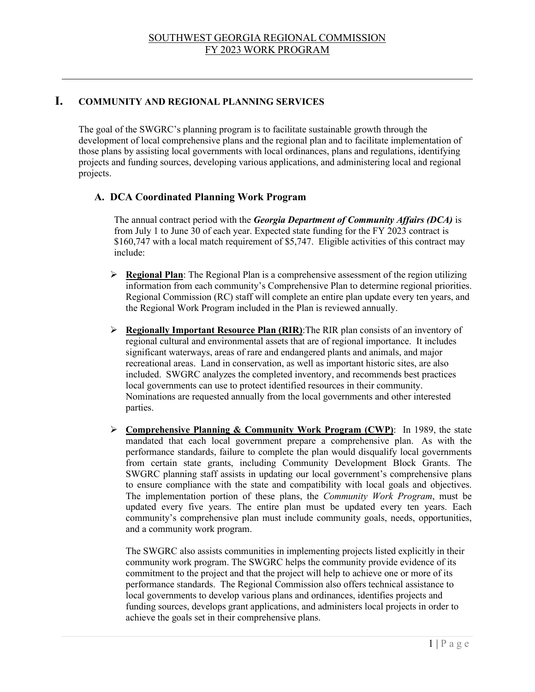## **I. COMMUNITY AND REGIONAL PLANNING SERVICES**

The goal of the SWGRC's planning program is to facilitate sustainable growth through the development of local comprehensive plans and the regional plan and to facilitate implementation of those plans by assisting local governments with local ordinances, plans and regulations, identifying projects and funding sources, developing various applications, and administering local and regional projects.

## **A. DCA Coordinated Planning Work Program**

The annual contract period with the *Georgia Department of Community Affairs (DCA)* is from July 1 to June 30 of each year. Expected state funding for the FY 2023 contract is \$160,747 with a local match requirement of \$5,747. Eligible activities of this contract may include:

- **Regional Plan**: The Regional Plan is a comprehensive assessment of the region utilizing information from each community's Comprehensive Plan to determine regional priorities. Regional Commission (RC) staff will complete an entire plan update every ten years, and the Regional Work Program included in the Plan is reviewed annually.
- **Regionally Important Resource Plan (RIR)**:The RIR plan consists of an inventory of regional cultural and environmental assets that are of regional importance. It includes significant waterways, areas of rare and endangered plants and animals, and major recreational areas. Land in conservation, as well as important historic sites, are also included. SWGRC analyzes the completed inventory, and recommends best practices local governments can use to protect identified resources in their community. Nominations are requested annually from the local governments and other interested parties.
- **Comprehensive Planning & Community Work Program (CWP)**: In 1989, the state mandated that each local government prepare a comprehensive plan. As with the performance standards, failure to complete the plan would disqualify local governments from certain state grants, including Community Development Block Grants. The SWGRC planning staff assists in updating our local government's comprehensive plans to ensure compliance with the state and compatibility with local goals and objectives. The implementation portion of these plans, the *Community Work Program*, must be updated every five years. The entire plan must be updated every ten years. Each community's comprehensive plan must include community goals, needs, opportunities, and a community work program.

The SWGRC also assists communities in implementing projects listed explicitly in their community work program. The SWGRC helps the community provide evidence of its commitment to the project and that the project will help to achieve one or more of its performance standards. The Regional Commission also offers technical assistance to local governments to develop various plans and ordinances, identifies projects and funding sources, develops grant applications, and administers local projects in order to achieve the goals set in their comprehensive plans.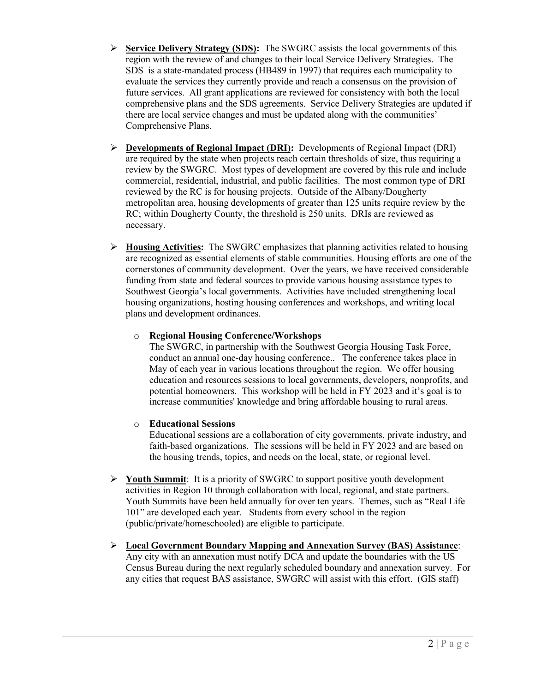- **Service Delivery Strategy (SDS):** The SWGRC assists the local governments of this region with the review of and changes to their local Service Delivery Strategies. The SDS is a state-mandated process (HB489 in 1997) that requires each municipality to evaluate the services they currently provide and reach a consensus on the provision of future services. All grant applications are reviewed for consistency with both the local comprehensive plans and the SDS agreements. Service Delivery Strategies are updated if there are local service changes and must be updated along with the communities' Comprehensive Plans.
- **Developments of Regional Impact (DRI):** Developments of Regional Impact (DRI) are required by the state when projects reach certain thresholds of size, thus requiring a review by the SWGRC. Most types of development are covered by this rule and include commercial, residential, industrial, and public facilities. The most common type of DRI reviewed by the RC is for housing projects. Outside of the Albany/Dougherty metropolitan area, housing developments of greater than 125 units require review by the RC; within Dougherty County, the threshold is 250 units. DRIs are reviewed as necessary.
- **Housing Activities:** The SWGRC emphasizes that planning activities related to housing are recognized as essential elements of stable communities. Housing efforts are one of the cornerstones of community development. Over the years, we have received considerable funding from state and federal sources to provide various housing assistance types to Southwest Georgia's local governments. Activities have included strengthening local housing organizations, hosting housing conferences and workshops, and writing local plans and development ordinances.

#### o **Regional Housing Conference/Workshops**

The SWGRC, in partnership with the Southwest Georgia Housing Task Force, conduct an annual one-day housing conference.. The conference takes place in May of each year in various locations throughout the region. We offer housing education and resources sessions to local governments, developers, nonprofits, and potential homeowners. This workshop will be held in FY 2023 and it's goal is to increase communities' knowledge and bring affordable housing to rural areas.

#### o **Educational Sessions**

Educational sessions are a collaboration of city governments, private industry, and faith-based organizations. The sessions will be held in FY 2023 and are based on the housing trends, topics, and needs on the local, state, or regional level.

- **Youth Summit**: It is a priority of SWGRC to support positive youth development activities in Region 10 through collaboration with local, regional, and state partners. Youth Summits have been held annually for over ten years. Themes, such as "Real Life 101" are developed each year. Students from every school in the region (public/private/homeschooled) are eligible to participate.
- **Local Government Boundary Mapping and Annexation Survey (BAS) Assistance**: Any city with an annexation must notify DCA and update the boundaries with the US Census Bureau during the next regularly scheduled boundary and annexation survey. For any cities that request BAS assistance, SWGRC will assist with this effort. (GIS staff)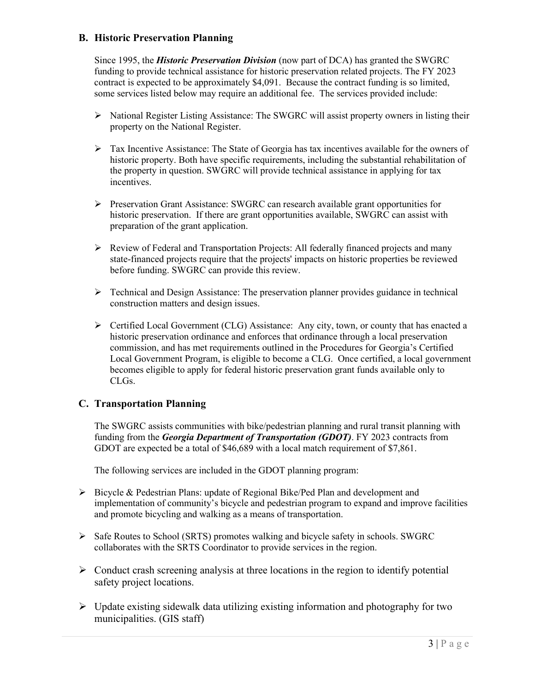### **B. Historic Preservation Planning**

Since 1995, the *Historic Preservation Division* (now part of DCA) has granted the SWGRC funding to provide technical assistance for historic preservation related projects. The FY 2023 contract is expected to be approximately \$4,091. Because the contract funding is so limited, some services listed below may require an additional fee. The services provided include:

- National Register Listing Assistance: The SWGRC will assist property owners in listing their property on the National Register.
- Tax Incentive Assistance: The State of Georgia has tax incentives available for the owners of historic property. Both have specific requirements, including the substantial rehabilitation of the property in question. SWGRC will provide technical assistance in applying for tax incentives.
- $\triangleright$  Preservation Grant Assistance: SWGRC can research available grant opportunities for historic preservation. If there are grant opportunities available, SWGRC can assist with preparation of the grant application.
- $\triangleright$  Review of Federal and Transportation Projects: All federally financed projects and many state-financed projects require that the projects' impacts on historic properties be reviewed before funding. SWGRC can provide this review.
- $\triangleright$  Technical and Design Assistance: The preservation planner provides guidance in technical construction matters and design issues.
- $\triangleright$  Certified Local Government (CLG) Assistance: Any city, town, or county that has enacted a historic preservation ordinance and enforces that ordinance through a local preservation commission, and has met requirements outlined in the Procedures for Georgia's Certified Local Government Program, is eligible to become a CLG. Once certified, a local government becomes eligible to apply for federal historic preservation grant funds available only to CLGs.

#### **C. Transportation Planning**

The SWGRC assists communities with bike/pedestrian planning and rural transit planning with funding from the *Georgia Department of Transportation (GDOT)*. FY 2023 contracts from GDOT are expected be a total of \$46,689 with a local match requirement of \$7,861.

The following services are included in the GDOT planning program:

- $\triangleright$  Bicycle & Pedestrian Plans: update of Regional Bike/Ped Plan and development and implementation of community's bicycle and pedestrian program to expand and improve facilities and promote bicycling and walking as a means of transportation.
- $\triangleright$  Safe Routes to School (SRTS) promotes walking and bicycle safety in schools. SWGRC collaborates with the SRTS Coordinator to provide services in the region.
- $\triangleright$  Conduct crash screening analysis at three locations in the region to identify potential safety project locations.
- $\triangleright$  Update existing sidewalk data utilizing existing information and photography for two municipalities. (GIS staff)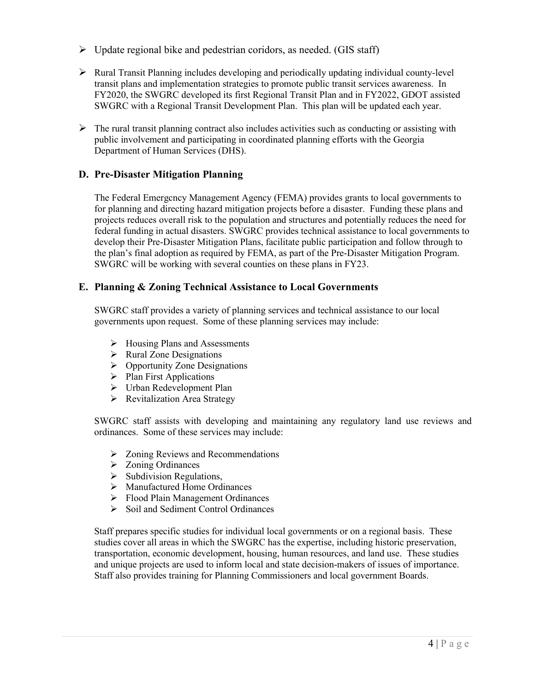- $\triangleright$  Update regional bike and pedestrian coridors, as needed. (GIS staff)
- $\triangleright$  Rural Transit Planning includes developing and periodically updating individual county-level transit plans and implementation strategies to promote public transit services awareness. In FY2020, the SWGRC developed its first Regional Transit Plan and in FY2022, GDOT assisted SWGRC with a Regional Transit Development Plan. This plan will be updated each year.
- $\triangleright$  The rural transit planning contract also includes activities such as conducting or assisting with public involvement and participating in coordinated planning efforts with the Georgia Department of Human Services (DHS).

#### **D. Pre-Disaster Mitigation Planning**

The Federal Emergcncy Management Agency (FEMA) provides grants to local governments to for planning and directing hazard mitigation projects before a disaster. Funding these plans and projects reduces overall risk to the population and structures and potentially reduces the need for federal funding in actual disasters. SWGRC provides technical assistance to local governments to develop their Pre-Disaster Mitigation Plans, facilitate public participation and follow through to the plan's final adoption as required by FEMA, as part of the Pre-Disaster Mitigation Program. SWGRC will be working with several counties on these plans in FY23.

#### **E. Planning & Zoning Technical Assistance to Local Governments**

SWGRC staff provides a variety of planning services and technical assistance to our local governments upon request. Some of these planning services may include:

- $\triangleright$  Housing Plans and Assessments
- $\triangleright$  Rural Zone Designations
- $\triangleright$  Opportunity Zone Designations
- $\triangleright$  Plan First Applications
- Urban Redevelopment Plan
- **Revitalization Area Strategy**

SWGRC staff assists with developing and maintaining any regulatory land use reviews and ordinances. Some of these services may include:

- $\triangleright$  Zoning Reviews and Recommendations
- > Zoning Ordinances
- $\triangleright$  Subdivision Regulations,
- Manufactured Home Ordinances
- Flood Plain Management Ordinances
- $\triangleright$  Soil and Sediment Control Ordinances

Staff prepares specific studies for individual local governments or on a regional basis. These studies cover all areas in which the SWGRC has the expertise, including historic preservation, transportation, economic development, housing, human resources, and land use. These studies and unique projects are used to inform local and state decision-makers of issues of importance. Staff also provides training for Planning Commissioners and local government Boards.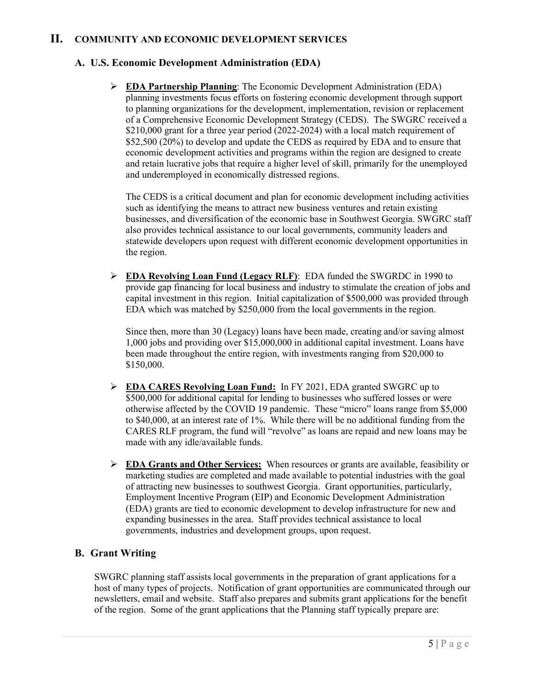## **II. COMMUNITY AND ECONOMIC DEVELOPMENT SERVICES**

## **A. U.S. Economic Development Administration (EDA)**

 **EDA Partnership Planning**: The Economic Development Administration (EDA) planning investments focus efforts on fostering economic development through support to planning organizations for the development, implementation, revision or replacement of a Comprehensive Economic Development Strategy (CEDS). The SWGRC received a \$210,000 grant for a three year period (2022-2024) with a local match requirement of \$52,500 (20%) to develop and update the CEDS as required by EDA and to ensure that economic development activities and programs within the region are designed to create and retain lucrative jobs that require a higher level of skill, primarily for the unemployed and underemployed in economically distressed regions.

The CEDS is a critical document and plan for economic development including activities such as identifying the means to attract new business ventures and retain existing businesses, and diversification of the economic base in Southwest Georgia. SWGRC staff also provides technical assistance to our local governments, community leaders and statewide developers upon request with different economic development opportunities in the region.

 **EDA Revolving Loan Fund (Legacy RLF)**: EDA funded the SWGRDC in 1990 to provide gap financing for local business and industry to stimulate the creation of jobs and capital investment in this region. Initial capitalization of \$500,000 was provided through EDA which was matched by \$250,000 from the local governments in the region.

Since then, more than 30 (Legacy) loans have been made, creating and/or saving almost 1,000 jobs and providing over \$15,000,000 in additional capital investment. Loans have been made throughout the entire region, with investments ranging from \$20,000 to \$150,000.

- **EDA CARES Revolving Loan Fund:** In FY 2021, EDA granted SWGRC up to \$500,000 for additional capital for lending to businesses who suffered losses or were otherwise affected by the COVID 19 pandemic. These "micro" loans range from \$5,000 to \$40,000, at an interest rate of 1%. While there will be no additional funding from the CARES RLF program, the fund will "revolve" as loans are repaid and new loans may be made with any idle/available funds.
- **EDA Grants and Other Services:** When resources or grants are available, feasibility or marketing studies are completed and made available to potential industries with the goal of attracting new businesses to southwest Georgia. Grant opportunities, particularly, Employment Incentive Program (EIP) and Economic Development Administration (EDA) grants are tied to economic development to develop infrastructure for new and expanding businesses in the area. Staff provides technical assistance to local governments, industries and development groups, upon request.

## **B. Grant Writing**

SWGRC planning staff assists local governments in the preparation of grant applications for a host of many types of projects. Notification of grant opportunities are communicated through our newsletters, email and website. Staff also prepares and submits grant applications for the benefit of the region. Some of the grant applications that the Planning staff typically prepare are: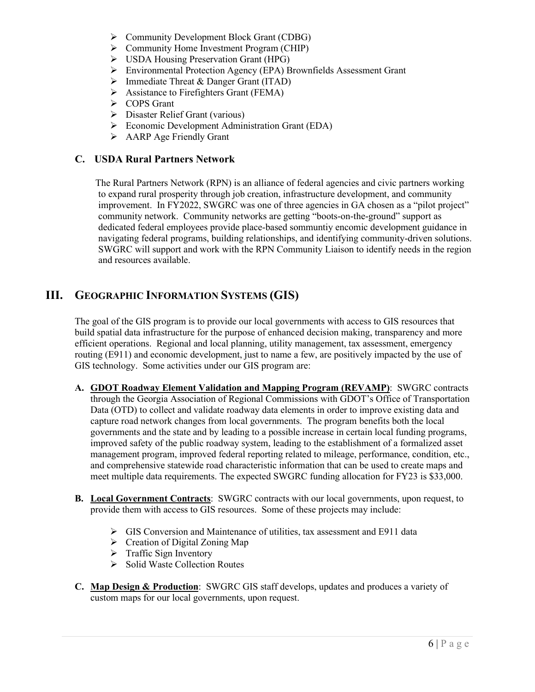- ▶ Community Development Block Grant (CDBG)
- $\triangleright$  Community Home Investment Program (CHIP)
- $\triangleright$  USDA Housing Preservation Grant (HPG)
- Environmental Protection Agency (EPA) Brownfields Assessment Grant
- Immediate Threat & Danger Grant (ITAD)
- $\triangleright$  Assistance to Firefighters Grant (FEMA)
- COPS Grant
- Disaster Relief Grant (various)
- Economic Development Administration Grant (EDA)
- $\triangleright$  AARP Age Friendly Grant

#### **C. USDA Rural Partners Network**

 The Rural Partners Network (RPN) is an alliance of federal agencies and civic partners working to expand rural prosperity through job creation, infrastructure development, and community improvement. In FY2022, SWGRC was one of three agencies in GA chosen as a "pilot project" community network. Community networks are getting "boots-on-the-ground" support as dedicated federal employees provide place-based sommuntiy encomic development guidance in navigating federal programs, building relationships, and identifying community-driven solutions. SWGRC will support and work with the RPN Community Liaison to identify needs in the region and resources available.

# **III. GEOGRAPHIC INFORMATION SYSTEMS (GIS)**

The goal of the GIS program is to provide our local governments with access to GIS resources that build spatial data infrastructure for the purpose of enhanced decision making, transparency and more efficient operations. Regional and local planning, utility management, tax assessment, emergency routing (E911) and economic development, just to name a few, are positively impacted by the use of GIS technology. Some activities under our GIS program are:

- **A. GDOT Roadway Element Validation and Mapping Program (REVAMP)**: SWGRC contracts through the Georgia Association of Regional Commissions with GDOT's Office of Transportation Data (OTD) to collect and validate roadway data elements in order to improve existing data and capture road network changes from local governments. The program benefits both the local governments and the state and by leading to a possible increase in certain local funding programs, improved safety of the public roadway system, leading to the establishment of a formalized asset management program, improved federal reporting related to mileage, performance, condition, etc., and comprehensive statewide road characteristic information that can be used to create maps and meet multiple data requirements. The expected SWGRC funding allocation for FY23 is \$33,000.
- **B. Local Government Contracts**: SWGRC contracts with our local governments, upon request, to provide them with access to GIS resources. Some of these projects may include:
	- GIS Conversion and Maintenance of utilities, tax assessment and E911 data
	- $\triangleright$  Creation of Digital Zoning Map
	- $\triangleright$  Traffic Sign Inventory
	- $\triangleright$  Solid Waste Collection Routes
- **C. Map Design & Production**: SWGRC GIS staff develops, updates and produces a variety of custom maps for our local governments, upon request.